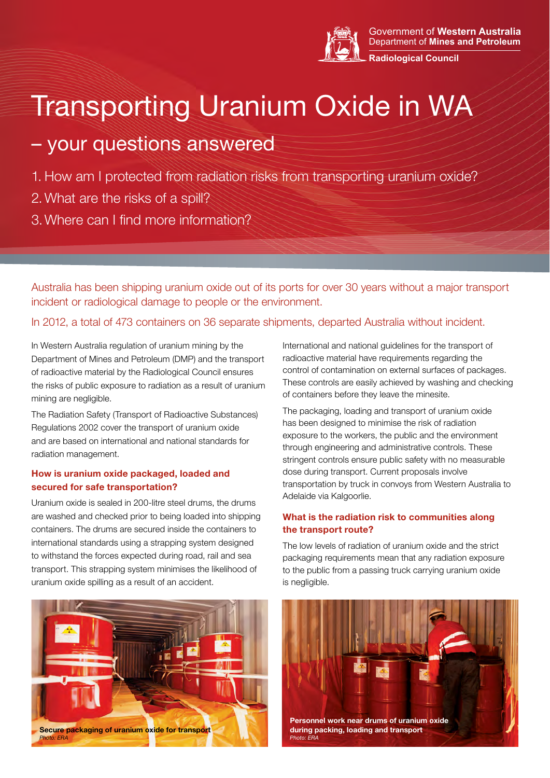

'HSDUWPHQWRI**0LQHVDQG3HWUROHXP**

# Transporting Uranium Oxide in WA

# – your questions answered

- 1. How am I protected from radiation risks from transporting uranium oxide?
- 2. What are the risks of a spill?
- 3. Where can I find more information?

Australia has been shipping uranium oxide out of its ports for over 30 years without a major transport incident or radiological damage to people or the environment.

#### \*RYHUQPHQWRI**:HVWHUQ\$XVWUDOLD** In 2012, a total of 473 containers on 36 separate shipments, departed Australia without incident.

In Western Australia regulation of uranium mining by the Department of Mines and Petroleum (DMP) and the transport of radioactive material by the Radiological Council ensures the risks of public exposure to radiation as a result of uranium mining are negligible.

The Radiation Safety (Transport of Radioactive Substances) Regulations 2002 cover the transport of uranium oxide and are based on international and national standards for radiation management.

## **How is uranium oxide packaged, loaded and secured for safe transportation?**

Uranium oxide is sealed in 200-litre steel drums, the drums are washed and checked prior to being loaded into shipping containers. The drums are secured inside the containers to international standards using a strapping system designed to withstand the forces expected during road, rail and sea transport. This strapping system minimises the likelihood of uranium oxide spilling as a result of an accident.



International and national guidelines for the transport of radioactive material have requirements regarding the control of contamination on external surfaces of packages. These controls are easily achieved by washing and checking of containers before they leave the minesite.

The packaging, loading and transport of uranium oxide has been designed to minimise the risk of radiation exposure to the workers, the public and the environment through engineering and administrative controls. These stringent controls ensure public safety with no measurable dose during transport. Current proposals involve transportation by truck in convoys from Western Australia to Adelaide via Kalgoorlie.

### **What is the radiation risk to communities along the transport route?**

The low levels of radiation of uranium oxide and the strict packaging requirements mean that any radiation exposure to the public from a passing truck carrying uranium oxide is negligible.